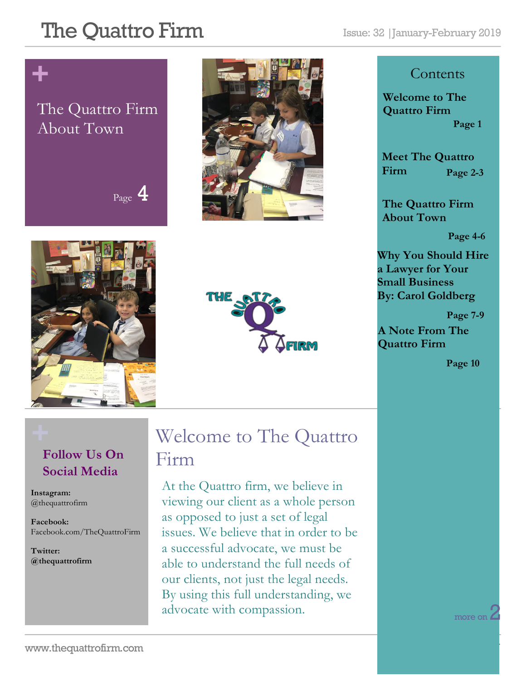# **+**

### The Quattro Firm About Town









#### **Contents**

**Welcome to The Quattro Firm Page 1**

**Meet The Quattro Firm Page 2-3**

**The Quattro Firm About Town**

**Page 4-6**

**Why You Should Hire a Lawyer for Your Small Business By: Carol Goldberg**

 **Page 7-9**

**A Note From The Quattro Firm** 

**Page 10**

### **Follow Us On Social Media**

**Instagram:**  @thequattrofirm

**Facebook:** Facebook.com/TheQuattroFirm

**Twitter: @thequattrofirm**

### **+** Welcome to The Quattro Firm

At the Quattro firm, we believe in viewing our client as a whole person as opposed to just a set of legal issues. We believe that in order to be a successful advocate, we must be able to understand the full needs of our clients, not just the legal needs. By using this full understanding, we advocate with compassion.

more on Z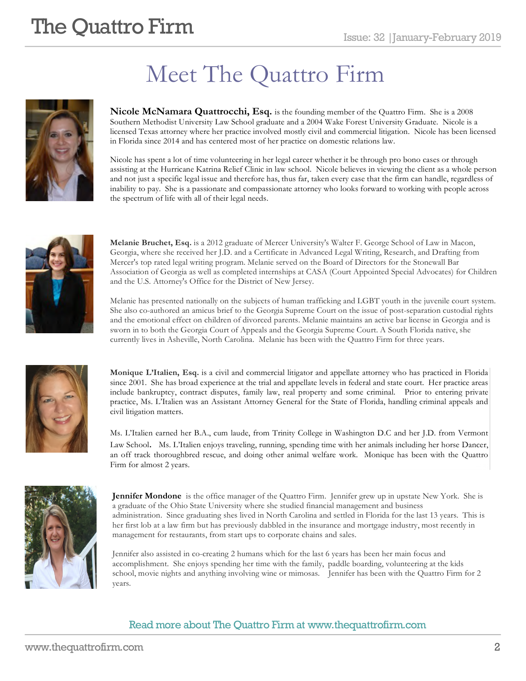## Meet The Quattro Firm



**Nicole McNamara Quattrocchi, Esq.** is the founding member of the Quattro Firm. She is a 2008 Southern Methodist University Law School graduate and a 2004 Wake Forest University Graduate. Nicole is a licensed Texas attorney where her practice involved mostly civil and commercial litigation. Nicole has been licensed in Florida since 2014 and has centered most of her practice on domestic relations law.

Nicole has spent a lot of time volunteering in her legal career whether it be through pro bono cases or through assisting at the Hurricane Katrina Relief Clinic in law school. Nicole believes in viewing the client as a whole person and not just a specific legal issue and therefore has, thus far, taken every case that the firm can handle, regardless of inability to pay. She is a passionate and compassionate attorney who looks forward to working with people across the spectrum of life with all of their legal needs.



**Melanie Bruchet, Esq.** is a 2012 graduate of Mercer University's Walter F. George School of Law in Macon, Georgia, where she received her J.D. and a Certificate in Advanced Legal Writing, Research, and Drafting from Mercer's top rated legal writing program. Melanie served on the Board of Directors for the Stonewall Bar Association of Georgia as well as completed internships at CASA (Court Appointed Special Advocates) for Children and the U.S. Attorney's Office for the District of New Jersey.

Melanie has presented nationally on the subjects of human trafficking and LGBT youth in the juvenile court system. She also co-authored an amicus brief to the Georgia Supreme Court on the issue of post-separation custodial rights and the emotional effect on children of divorced parents. Melanie maintains an active bar license in Georgia and is sworn in to both the Georgia Court of Appeals and the Georgia Supreme Court. A South Florida native, she currently lives in Asheville, North Carolina. Melanie has been with the Quattro Firm for three years.



**Monique L'Italien, Esq.** is a civil and commercial litigator and appellate attorney who has practiced in Florida since 2001. She has broad experience at the trial and appellate levels in federal and state court. Her practice areas include bankruptcy, contract disputes, family law, real property and some criminal. Prior to entering private practice, Ms. L'Italien was an Assistant Attorney General for the State of Florida, handling criminal appeals and civil litigation matters.

Ms. L'Italien earned her B.A., cum laude, from Trinity College in Washington D.C and her J.D. from Vermont Law School. Ms. L'Italien enjoys traveling, running, spending time with her animals including her horse Dancer, an off track thoroughbred rescue, and doing other animal welfare work. Monique has been with the Quattro Firm for almost 2 years.



**Jennifer Mondone** is the office manager of the Quattro Firm. Jennifer grew up in upstate New York. She is a graduate of the Ohio State University where she studied financial management and business administration. Since graduating shes lived in North Carolina and settled in Florida for the last 13 years. This is her first lob at a law firm but has previously dabbled in the insurance and mortgage industry, most recently in management for restaurants, from start ups to corporate chains and sales.

Jennifer also assisted in co-creating 2 humans which for the last 6 years has been her main focus and accomplishment. She enjoys spending her time with the family, paddle boarding, volunteering at the kids school, movie nights and anything involving wine or mimosas. Jennifer has been with the Quattro Firm for 2 years.

#### Read more about The Quattro Firm at www.thequattrofirm.com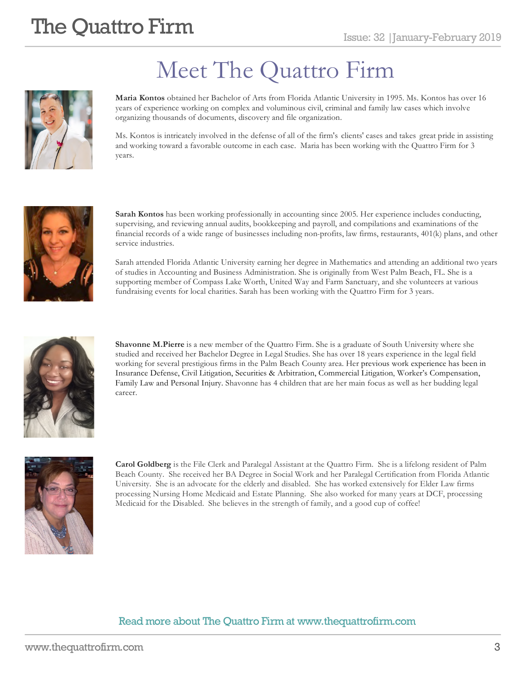

## Meet The Quattro Firm

**Maria Kontos** obtained her Bachelor of Arts from Florida Atlantic University in 1995. Ms. Kontos has over 16 years of experience working on complex and voluminous civil, criminal and family law cases which involve organizing thousands of documents, discovery and file organization.

Ms. Kontos is intricately involved in the defense of all of the firm's clients' cases and takes great pride in assisting and working toward a favorable outcome in each case. Maria has been working with the Quattro Firm for 3 years.



**Sarah Kontos** has been working professionally in accounting since 2005. Her experience includes conducting, supervising, and reviewing annual audits, bookkeeping and payroll, and compilations and examinations of the financial records of a wide range of businesses including non-profits, law firms, restaurants, 401(k) plans, and other service industries.

Sarah attended Florida Atlantic University earning her degree in Mathematics and attending an additional two years of studies in Accounting and Business Administration. She is originally from West Palm Beach, FL. She is a supporting member of Compass Lake Worth, United Way and Farm Sanctuary, and she volunteers at various fundraising events for local charities. Sarah has been working with the Quattro Firm for 3 years.



**Shavonne M.Pierre** is a new member of the Quattro Firm. She is a graduate of South University where she studied and received her Bachelor Degree in Legal Studies. She has over 18 years experience in the legal field working for several prestigious firms in the Palm Beach County area. Her previous work experience has been in Insurance Defense, Civil Litigation, Securities & Arbitration, Commercial Litigation, Worker's Compensation, Family Law and Personal Injury. Shavonne has 4 children that are her main focus as well as her budding legal career.



**Carol Goldberg** is the File Clerk and Paralegal Assistant at the Quattro Firm. She is a lifelong resident of Palm Beach County. She received her BA Degree in Social Work and her Paralegal Certification from Florida Atlantic University. She is an advocate for the elderly and disabled. She has worked extensively for Elder Law firms processing Nursing Home Medicaid and Estate Planning. She also worked for many years at DCF, processing Medicaid for the Disabled. She believes in the strength of family, and a good cup of coffee!

#### Read more about The Quattro Firm at www.thequattrofirm.com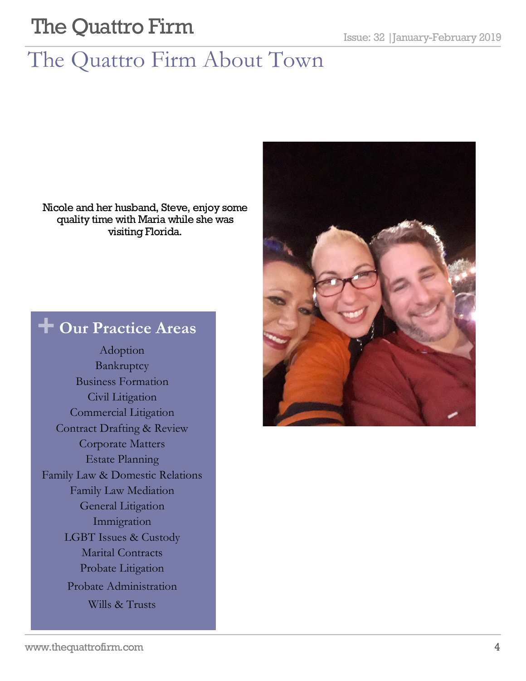# The Quattro Firm About Town

Nicole and her husband, Steve, enjoy some quality time with Maria while she was visiting Florida.

### **+ Our Practice Areas**

Adoption Bankruptcy Business Formation Civil Litigation Commercial Litigation Contract Drafting & Review Corporate Matters Estate Planning Family Law & Domestic Relations Family Law Mediation General Litigation Immigration LGBT Issues & Custody Marital Contracts Probate Litigation Probate Administration Wills & Trusts

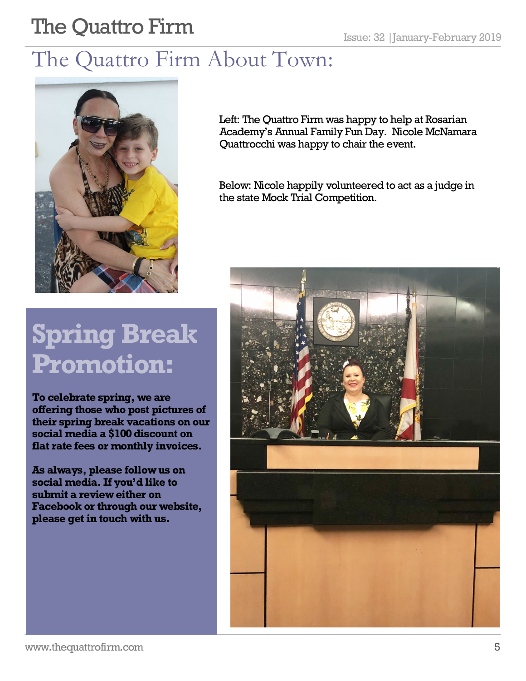## The Quattro Firm About Town:



Left: The Quattro Firm was happy to help at Rosarian Academy's Annual Family Fun Day. Nicole McNamara Quattrocchi was happy to chair the event.

Below: Nicole happily volunteered to act as a judge in the state Mock Trial Competition.

# **Spring Break Promotion:**

**To celebrate spring, we are offering those who post pictures of their spring break vacations on our social media a \$100 discount on flat rate fees or monthly invoices.**

**As always, please follow us on social media. If you'd like to submit a review either on Facebook or through our website, please get in touch with us.** 

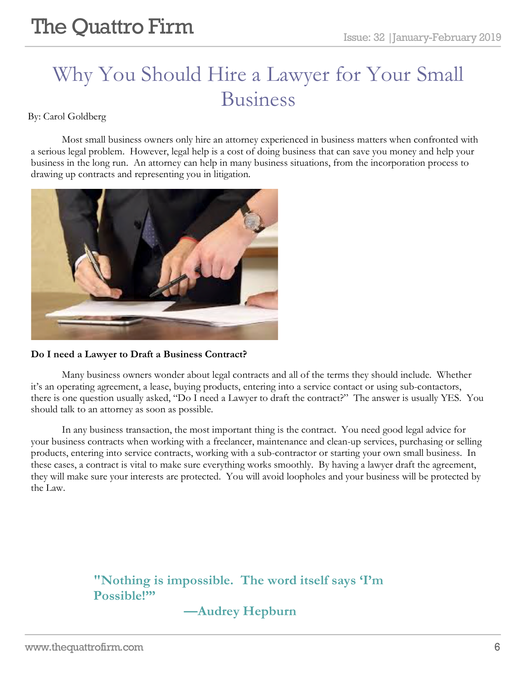## Why You Should Hire a Lawyer for Your Small Business

By: Carol Goldberg

Most small business owners only hire an attorney experienced in business matters when confronted with a serious legal problem. However, legal help is a cost of doing business that can save you money and help your business in the long run. An attorney can help in many business situations, from the incorporation process to drawing up contracts and representing you in litigation.



#### **Do I need a Lawyer to Draft a Business Contract?**

Many business owners wonder about legal contracts and all of the terms they should include. Whether it's an operating agreement, a lease, buying products, entering into a service contact or using sub-contactors, there is one question usually asked, "Do I need a Lawyer to draft the contract?" The answer is usually YES. You should talk to an attorney as soon as possible.

In any business transaction, the most important thing is the contract. You need good legal advice for your business contracts when working with a freelancer, maintenance and clean-up services, purchasing or selling products, entering into service contracts, working with a sub-contractor or starting your own small business. In these cases, a contract is vital to make sure everything works smoothly. By having a lawyer draft the agreement, they will make sure your interests are protected. You will avoid loopholes and your business will be protected by the Law.

#### **"Nothing is impossible. The word itself says 'I'm Possible!'"**

#### **—Audrey Hepburn**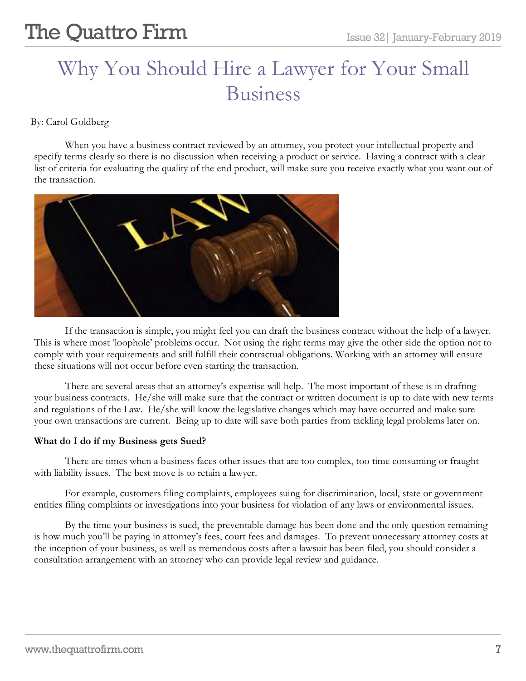## Why You Should Hire a Lawyer for Your Small Business

By: Carol Goldberg

When you have a business contract reviewed by an attorney, you protect your intellectual property and specify terms clearly so there is no discussion when receiving a product or service. Having a contract with a clear list of criteria for evaluating the quality of the end product, will make sure you receive exactly what you want out of the transaction.



If the transaction is simple, you might feel you can draft the business contract without the help of a lawyer. This is where most 'loophole' problems occur. Not using the right terms may give the other side the option not to comply with your requirements and still fulfill their contractual obligations. Working with an attorney will ensure these situations will not occur before even starting the transaction.

There are several areas that an attorney's expertise will help. The most important of these is in drafting your business contracts. He/she will make sure that the contract or written document is up to date with new terms and regulations of the Law. He/she will know the legislative changes which may have occurred and make sure your own transactions are current. Being up to date will save both parties from tackling legal problems later on.

#### **What do I do if my Business gets Sued?**

There are times when a business faces other issues that are too complex, too time consuming or fraught with liability issues. The best move is to retain a lawyer.

For example, customers filing complaints, employees suing for discrimination, local, state or government entities filing complaints or investigations into your business for violation of any laws or environmental issues.

By the time your business is sued, the preventable damage has been done and the only question remaining is how much you'll be paying in attorney's fees, court fees and damages. To prevent unnecessary attorney costs at the inception of your business, as well as tremendous costs after a lawsuit has been filed, you should consider a consultation arrangement with an attorney who can provide legal review and guidance.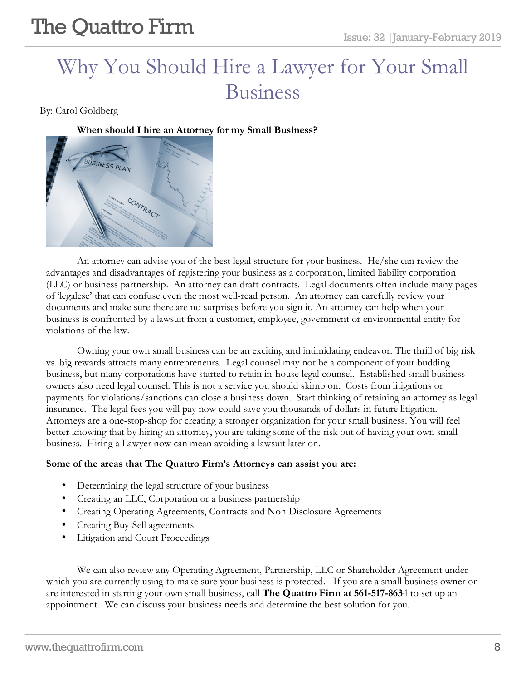## Why You Should Hire a Lawyer for Your Small Business

By: Carol Goldberg

**When should I hire an Attorney for my Small Business?**



An attorney can advise you of the best legal structure for your business. He/she can review the advantages and disadvantages of registering your business as a corporation, limited liability corporation (LLC) or business partnership. An attorney can draft contracts. Legal documents often include many pages of 'legalese' that can confuse even the most well-read person. An attorney can carefully review your documents and make sure there are no surprises before you sign it. An attorney can help when your business is confronted by a lawsuit from a customer, employee, government or environmental entity for violations of the law.

Owning your own small business can be an exciting and intimidating endeavor. The thrill of big risk vs. big rewards attracts many entrepreneurs. Legal counsel may not be a component of your budding business, but many corporations have started to retain in-house legal counsel. Established small business owners also need legal counsel. This is not a service you should skimp on. Costs from litigations or payments for violations/sanctions can close a business down. Start thinking of retaining an attorney as legal insurance. The legal fees you will pay now could save you thousands of dollars in future litigation. Attorneys are a one-stop-shop for creating a stronger organization for your small business. You will feel better knowing that by hiring an attorney, you are taking some of the risk out of having your own small business. Hiring a Lawyer now can mean avoiding a lawsuit later on.

#### **Some of the areas that The Quattro Firm's Attorneys can assist you are:**

- Determining the legal structure of your business
- Creating an LLC, Corporation or a business partnership
- Creating Operating Agreements, Contracts and Non Disclosure Agreements
- Creating Buy-Sell agreements
- Litigation and Court Proceedings

We can also review any Operating Agreement, Partnership, LLC or Shareholder Agreement under which you are currently using to make sure your business is protected. If you are a small business owner or are interested in starting your own small business, call **The Quattro Firm at 561-517-863**4 to set up an appointment. We can discuss your business needs and determine the best solution for you.